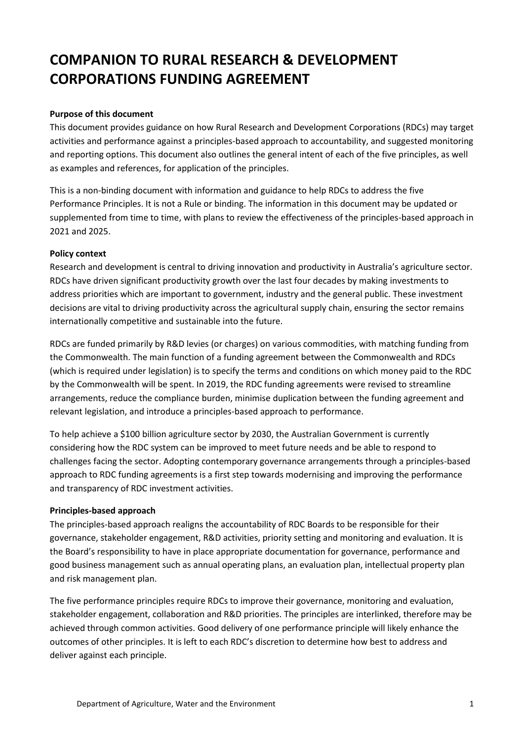# **COMPANION TO RURAL RESEARCH & DEVELOPMENT CORPORATIONS FUNDING AGREEMENT**

### **Purpose of this document**

This document provides guidance on how Rural Research and Development Corporations (RDCs) may target activities and performance against a principles-based approach to accountability, and suggested monitoring and reporting options. This document also outlines the general intent of each of the five principles, as well as examples and references, for application of the principles.

This is a non-binding document with information and guidance to help RDCs to address the five Performance Principles. It is not a Rule or binding. The information in this document may be updated or supplemented from time to time, with plans to review the effectiveness of the principles-based approach in 2021 and 2025.

#### **Policy context**

Research and development is central to driving innovation and productivity in Australia's agriculture sector. RDCs have driven significant productivity growth over the last four decades by making investments to address priorities which are important to government, industry and the general public. These investment decisions are vital to driving productivity across the agricultural supply chain, ensuring the sector remains internationally competitive and sustainable into the future.

RDCs are funded primarily by R&D levies (or charges) on various commodities, with matching funding from the Commonwealth. The main function of a funding agreement between the Commonwealth and RDCs (which is required under legislation) is to specify the terms and conditions on which money paid to the RDC by the Commonwealth will be spent. In 2019, the RDC funding agreements were revised to streamline arrangements, reduce the compliance burden, minimise duplication between the funding agreement and relevant legislation, and introduce a principles-based approach to performance.

To help achieve a \$100 billion agriculture sector by 2030, the Australian Government is currently considering how the RDC system can be improved to meet future needs and be able to respond to challenges facing the sector. Adopting contemporary governance arrangements through a principles-based approach to RDC funding agreements is a first step towards modernising and improving the performance and transparency of RDC investment activities.

#### **Principles-based approach**

The principles-based approach realigns the accountability of RDC Boards to be responsible for their governance, stakeholder engagement, R&D activities, priority setting and monitoring and evaluation. It is the Board's responsibility to have in place appropriate documentation for governance, performance and good business management such as annual operating plans, an evaluation plan, intellectual property plan and risk management plan.

The five performance principles require RDCs to improve their governance, monitoring and evaluation, stakeholder engagement, collaboration and R&D priorities. The principles are interlinked, therefore may be achieved through common activities. Good delivery of one performance principle will likely enhance the outcomes of other principles. It is left to each RDC's discretion to determine how best to address and deliver against each principle.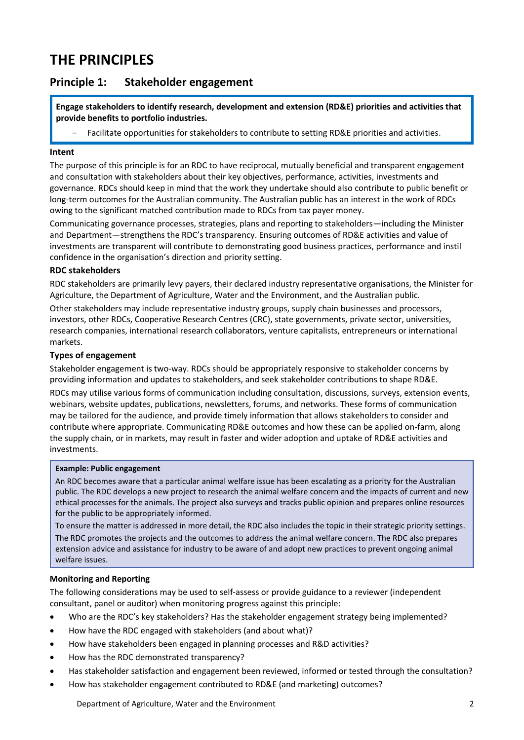# **THE PRINCIPLES**

### **Principle 1: Stakeholder engagement**

**Engage stakeholders to identify research, development and extension (RD&E) priorities and activities that provide benefits to portfolio industries.**

Facilitate opportunities for stakeholders to contribute to setting RD&E priorities and activities.

#### **Intent**

The purpose of this principle is for an RDC to have reciprocal, mutually beneficial and transparent engagement and consultation with stakeholders about their key objectives, performance, activities, investments and governance. RDCs should keep in mind that the work they undertake should also contribute to public benefit or long-term outcomes for the Australian community. The Australian public has an interest in the work of RDCs owing to the significant matched contribution made to RDCs from tax payer money.

Communicating governance processes, strategies, plans and reporting to stakeholders—including the Minister and Department—strengthens the RDC's transparency. Ensuring outcomes of RD&E activities and value of investments are transparent will contribute to demonstrating good business practices, performance and instil confidence in the organisation's direction and priority setting.

#### **RDC stakeholders**

RDC stakeholders are primarily levy payers, their declared industry representative organisations, the Minister for Agriculture, the Department of Agriculture, Water and the Environment, and the Australian public. Other stakeholders may include representative industry groups, supply chain businesses and processors, investors, other RDCs, Cooperative Research Centres (CRC), state governments, private sector, universities, research companies, international research collaborators, venture capitalists, entrepreneurs or international markets.

#### **Types of engagement**

Stakeholder engagement is two-way. RDCs should be appropriately responsive to stakeholder concerns by providing information and updates to stakeholders, and seek stakeholder contributions to shape RD&E.

RDCs may utilise various forms of communication including consultation, discussions, surveys, extension events, webinars, website updates, publications, newsletters, forums, and networks. These forms of communication may be tailored for the audience, and provide timely information that allows stakeholders to consider and contribute where appropriate. Communicating RD&E outcomes and how these can be applied on-farm, along the supply chain, or in markets, may result in faster and wider adoption and uptake of RD&E activities and investments.

#### **Example: Public engagement**

An RDC becomes aware that a particular animal welfare issue has been escalating as a priority for the Australian public. The RDC develops a new project to research the animal welfare concern and the impacts of current and new ethical processes for the animals. The project also surveys and tracks public opinion and prepares online resources for the public to be appropriately informed.

To ensure the matter is addressed in more detail, the RDC also includes the topic in their strategic priority settings. The RDC promotes the projects and the outcomes to address the animal welfare concern. The RDC also prepares extension advice and assistance for industry to be aware of and adopt new practices to prevent ongoing animal welfare issues.

#### **Monitoring and Reporting**

- Who are the RDC's key stakeholders? Has the stakeholder engagement strategy being implemented?
- How have the RDC engaged with stakeholders (and about what)?
- How have stakeholders been engaged in planning processes and R&D activities?
- How has the RDC demonstrated transparency?
- Has stakeholder satisfaction and engagement been reviewed, informed or tested through the consultation?
- How has stakeholder engagement contributed to RD&E (and marketing) outcomes?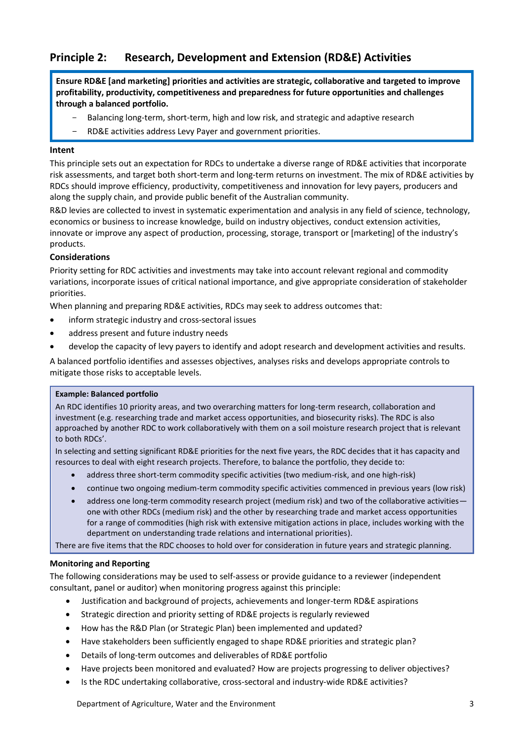# **Principle 2: Research, Development and Extension (RD&E) Activities**

**Ensure RD&E [and marketing] priorities and activities are strategic, collaborative and targeted to improve profitability, productivity, competitiveness and preparedness for future opportunities and challenges through a balanced portfolio.**

- Balancing long-term, short-term, high and low risk, and strategic and adaptive research
- RD&E activities address Levy Payer and government priorities.

#### **Intent**

This principle sets out an expectation for RDCs to undertake a diverse range of RD&E activities that incorporate risk assessments, and target both short-term and long-term returns on investment. The mix of RD&E activities by RDCs should improve efficiency, productivity, competitiveness and innovation for levy payers, producers and along the supply chain, and provide public benefit of the Australian community.

R&D levies are collected to invest in systematic experimentation and analysis in any field of science, technology, economics or business to increase knowledge, build on industry objectives, conduct extension activities, innovate or improve any aspect of production, processing, storage, transport or [marketing] of the industry's products.

#### **Considerations**

Priority setting for RDC activities and investments may take into account relevant regional and commodity variations, incorporate issues of critical national importance, and give appropriate consideration of stakeholder priorities.

When planning and preparing RD&E activities, RDCs may seek to address outcomes that:

- inform strategic industry and cross-sectoral issues
- address present and future industry needs
- develop the capacity of levy payers to identify and adopt research and development activities and results.

A balanced portfolio identifies and assesses objectives, analyses risks and develops appropriate controls to mitigate those risks to acceptable levels.

#### **Example: Balanced portfolio**

An RDC identifies 10 priority areas, and two overarching matters for long-term research, collaboration and investment (e.g. researching trade and market access opportunities, and biosecurity risks). The RDC is also approached by another RDC to work collaboratively with them on a soil moisture research project that is relevant to both RDCs'.

In selecting and setting significant RD&E priorities for the next five years, the RDC decides that it has capacity and resources to deal with eight research projects. Therefore, to balance the portfolio, they decide to:

- address three short-term commodity specific activities (two medium-risk, and one high-risk)
- continue two ongoing medium-term commodity specific activities commenced in previous years (low risk)
- address one long-term commodity research project (medium risk) and two of the collaborative activitiesone with other RDCs (medium risk) and the other by researching trade and market access opportunities for a range of commodities (high risk with extensive mitigation actions in place, includes working with the department on understanding trade relations and international priorities).

There are five items that the RDC chooses to hold over for consideration in future years and strategic planning.

#### **Monitoring and Reporting**

- Justification and background of projects, achievements and longer-term RD&E aspirations
- Strategic direction and priority setting of RD&E projects is regularly reviewed
- How has the R&D Plan (or Strategic Plan) been implemented and updated?
- Have stakeholders been sufficiently engaged to shape RD&E priorities and strategic plan?
- Details of long-term outcomes and deliverables of RD&E portfolio
- Have projects been monitored and evaluated? How are projects progressing to deliver objectives?
- Is the RDC undertaking collaborative, cross-sectoral and industry-wide RD&E activities?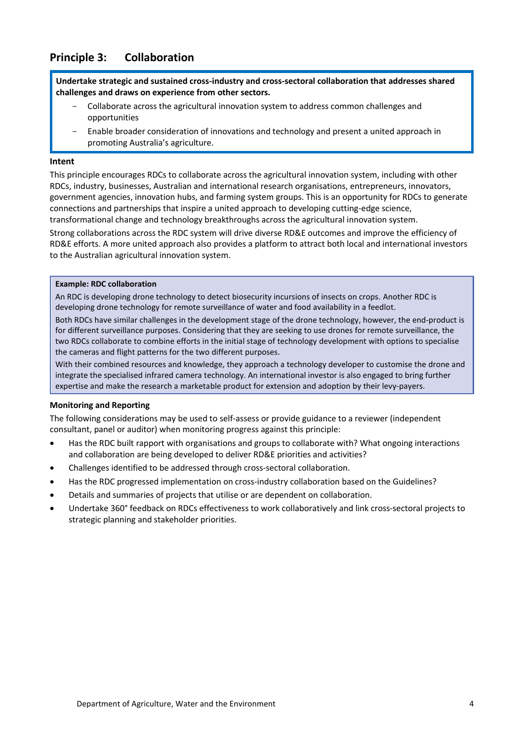## **Principle 3: Collaboration**

**Undertake strategic and sustained cross-industry and cross-sectoral collaboration that addresses shared challenges and draws on experience from other sectors.**

- Collaborate across the agricultural innovation system to address common challenges and opportunities
- Enable broader consideration of innovations and technology and present a united approach in promoting Australia's agriculture.

#### **Intent**

This principle encourages RDCs to collaborate across the agricultural innovation system, including with other RDCs, industry, businesses, Australian and international research organisations, entrepreneurs, innovators, government agencies, innovation hubs, and farming system groups. This is an opportunity for RDCs to generate connections and partnerships that inspire a united approach to developing cutting-edge science, transformational change and technology breakthroughs across the agricultural innovation system.

Strong collaborations across the RDC system will drive diverse RD&E outcomes and improve the efficiency of RD&E efforts. A more united approach also provides a platform to attract both local and international investors to the Australian agricultural innovation system.

#### **Example: RDC collaboration**

An RDC is developing drone technology to detect biosecurity incursions of insects on crops. Another RDC is developing drone technology for remote surveillance of water and food availability in a feedlot.

Both RDCs have similar challenges in the development stage of the drone technology, however, the end-product is for different surveillance purposes. Considering that they are seeking to use drones for remote surveillance, the two RDCs collaborate to combine efforts in the initial stage of technology development with options to specialise the cameras and flight patterns for the two different purposes.

With their combined resources and knowledge, they approach a technology developer to customise the drone and integrate the specialised infrared camera technology. An international investor is also engaged to bring further expertise and make the research a marketable product for extension and adoption by their levy-payers.

#### **Monitoring and Reporting**

- Has the RDC built rapport with organisations and groups to collaborate with? What ongoing interactions and collaboration are being developed to deliver RD&E priorities and activities?
- Challenges identified to be addressed through cross-sectoral collaboration.
- Has the RDC progressed implementation on cross-industry collaboration based on the Guidelines?
- Details and summaries of projects that utilise or are dependent on collaboration.
- Undertake 360° feedback on RDCs effectiveness to work collaboratively and link cross-sectoral projects to strategic planning and stakeholder priorities.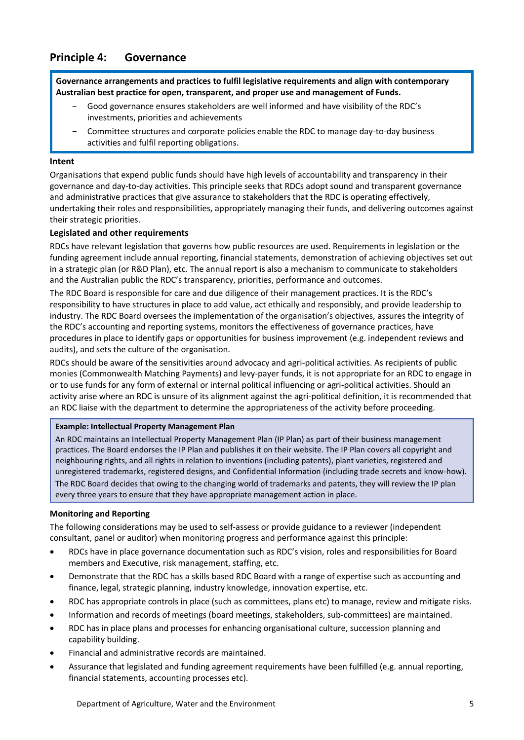### **Principle 4: Governance**

**Governance arrangements and practices to fulfil legislative requirements and align with contemporary Australian best practice for open, transparent, and proper use and management of Funds.**

- Good governance ensures stakeholders are well informed and have visibility of the RDC's investments, priorities and achievements
- Committee structures and corporate policies enable the RDC to manage day-to-day business activities and fulfil reporting obligations.

#### **Intent**

Organisations that expend public funds should have high levels of accountability and transparency in their governance and day-to-day activities. This principle seeks that RDCs adopt sound and transparent governance and administrative practices that give assurance to stakeholders that the RDC is operating effectively, undertaking their roles and responsibilities, appropriately managing their funds, and delivering outcomes against their strategic priorities.

#### **Legislated and other requirements**

RDCs have relevant legislation that governs how public resources are used. Requirements in legislation or the funding agreement include annual reporting, financial statements, demonstration of achieving objectives set out in a strategic plan (or R&D Plan), etc. The annual report is also a mechanism to communicate to stakeholders and the Australian public the RDC's transparency, priorities, performance and outcomes.

The RDC Board is responsible for care and due diligence of their management practices. It is the RDC's responsibility to have structures in place to add value, act ethically and responsibly, and provide leadership to industry. The RDC Board oversees the implementation of the organisation's objectives, assures the integrity of the RDC's accounting and reporting systems, monitors the effectiveness of governance practices, have procedures in place to identify gaps or opportunities for business improvement (e.g. independent reviews and audits), and sets the culture of the organisation.

RDCs should be aware of the sensitivities around advocacy and agri-political activities. As recipients of public monies (Commonwealth Matching Payments) and levy-payer funds, it is not appropriate for an RDC to engage in or to use funds for any form of external or internal political influencing or agri-political activities. Should an activity arise where an RDC is unsure of its alignment against the agri-political definition, it is recommended that an RDC liaise with the department to determine the appropriateness of the activity before proceeding.

#### **Example: Intellectual Property Management Plan**

An RDC maintains an Intellectual Property Management Plan (IP Plan) as part of their business management practices. The Board endorses the IP Plan and publishes it on their website. The IP Plan covers all copyright and neighbouring rights, and all rights in relation to inventions (including patents), plant varieties, registered and unregistered trademarks, registered designs, and Confidential Information (including trade secrets and know-how). The RDC Board decides that owing to the changing world of trademarks and patents, they will review the IP plan every three years to ensure that they have appropriate management action in place.

#### **Monitoring and Reporting**

- RDCs have in place governance documentation such as RDC's vision, roles and responsibilities for Board members and Executive, risk management, staffing, etc.
- Demonstrate that the RDC has a skills based RDC Board with a range of expertise such as accounting and finance, legal, strategic planning, industry knowledge, innovation expertise, etc.
- RDC has appropriate controls in place (such as committees, plans etc) to manage, review and mitigate risks.
- Information and records of meetings (board meetings, stakeholders, sub-committees) are maintained.
- RDC has in place plans and processes for enhancing organisational culture, succession planning and capability building.
- Financial and administrative records are maintained.
- Assurance that legislated and funding agreement requirements have been fulfilled (e.g. annual reporting, financial statements, accounting processes etc).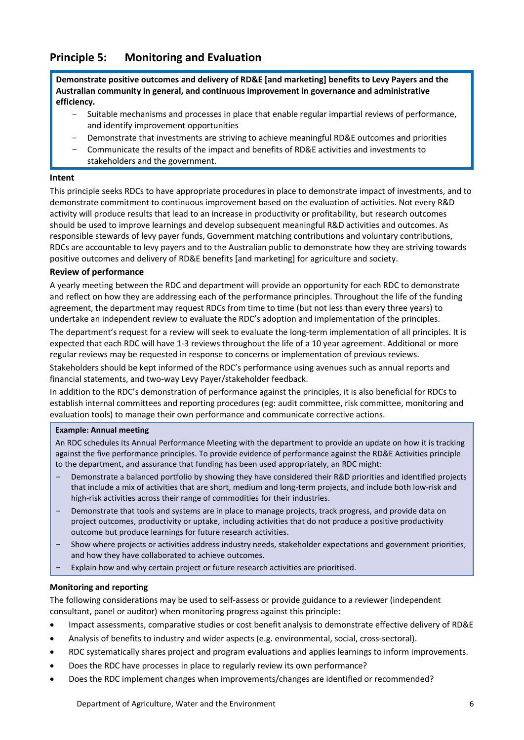## **Principle 5: Monitoring and Evaluation**

**Demonstrate positive outcomes and delivery of RD&E [and marketing] benefits to Levy Payers and the Australian community in general, and continuous improvement in governance and administrative efficiency.**

- Suitable mechanisms and processes in place that enable regular impartial reviews of performance, and identify improvement opportunities
- Demonstrate that investments are striving to achieve meaningful RD&E outcomes and priorities
- Communicate the results of the impact and benefits of RD&E activities and investments to stakeholders and the government.

#### **Intent**

This principle seeks RDCs to have appropriate procedures in place to demonstrate impact of investments, and to demonstrate commitment to continuous improvement based on the evaluation of activities. Not every R&D activity will produce results that lead to an increase in productivity or profitability, but research outcomes should be used to improve learnings and develop subsequent meaningful R&D activities and outcomes. As responsible stewards of levy payer funds, Government matching contributions and voluntary contributions, RDCs are accountable to levy payers and to the Australian public to demonstrate how they are striving towards positive outcomes and delivery of RD&E benefits [and marketing] for agriculture and society.

#### **Review of performance**

A yearly meeting between the RDC and department will provide an opportunity for each RDC to demonstrate and reflect on how they are addressing each of the performance principles. Throughout the life of the funding agreement, the department may request RDCs from time to time (but not less than every three years) to undertake an independent review to evaluate the RDC's adoption and implementation of the principles.

The department's request for a review will seek to evaluate the long-term implementation of all principles. It is expected that each RDC will have 1-3 reviews throughout the life of a 10 year agreement. Additional or more regular reviews may be requested in response to concerns or implementation of previous reviews.

Stakeholders should be kept informed of the RDC's performance using avenues such as annual reports and financial statements, and two-way Levy Payer/stakeholder feedback.

In addition to the RDC's demonstration of performance against the principles, it is also beneficial for RDCs to establish internal committees and reporting procedures (eg: audit committee, risk committee, monitoring and evaluation tools) to manage their own performance and communicate corrective actions.

#### **Example: Annual meeting**

An RDC schedules its Annual Performance Meeting with the department to provide an update on how it is tracking against the five performance principles. To provide evidence of performance against the RD&E Activities principle to the department, and assurance that funding has been used appropriately, an RDC might:

- Demonstrate a balanced portfolio by showing they have considered their R&D priorities and identified projects that include a mix of activities that are short, medium and long-term projects, and include both low-risk and high-risk activities across their range of commodities for their industries.
- Demonstrate that tools and systems are in place to manage projects, track progress, and provide data on project outcomes, productivity or uptake, including activities that do not produce a positive productivity outcome but produce learnings for future research activities.
- Show where projects or activities address industry needs, stakeholder expectations and government priorities, and how they have collaborated to achieve outcomes.
- Explain how and why certain project or future research activities are prioritised.

#### **Monitoring and reporting**

- Impact assessments, comparative studies or cost benefit analysis to demonstrate effective delivery of RD&E
- Analysis of benefits to industry and wider aspects (e.g. environmental, social, cross-sectoral).
- RDC systematically shares project and program evaluations and applies learnings to inform improvements.
- Does the RDC have processes in place to regularly review its own performance?
- Does the RDC implement changes when improvements/changes are identified or recommended?